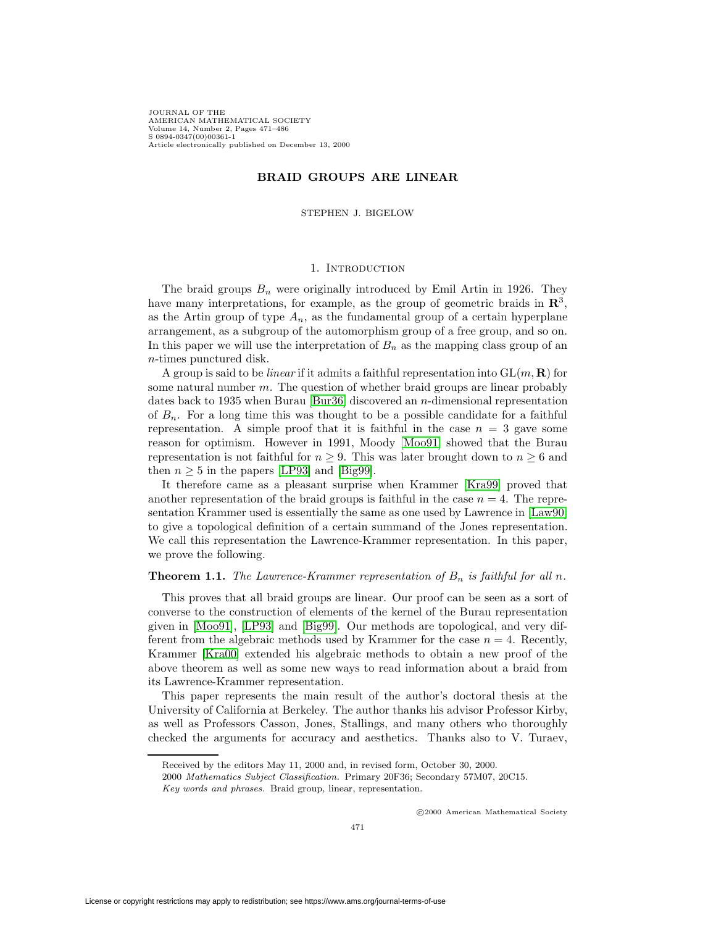JOURNAL OF THE AMERICAN MATHEMATICAL SOCIETY Volume 14, Number 2, Pages 471–486 S 0894-0347(00)00361-1 Article electronically published on December 13, 2000

# **BRAID GROUPS ARE LINEAR**

STEPHEN J. BIGELOW

## 1. INTRODUCTION

<span id="page-0-0"></span>The braid groups  $B_n$  were originally introduced by Emil Artin in 1926. They have many interpretations, for example, as the group of geometric braids in **R**<sup>3</sup>, as the Artin group of type  $A_n$ , as the fundamental group of a certain hyperplane arrangement, as a subgroup of the automorphism group of a free group, and so on. In this paper we will use the interpretation of  $B_n$  as the mapping class group of an n-times punctured disk.

A group is said to be *linear* if it admits a faithful representation into  $GL(m, \mathbf{R})$  for some natural number  $m$ . The question of whether braid groups are linear probably dates back to 1935 when Burau [\[Bur36\]](#page-15-0) discovered an n-dimensional representation of  $B_n$ . For a long time this was thought to be a possible candidate for a faithful representation. A simple proof that it is faithful in the case  $n = 3$  gave some reason for optimism. However in 1991, Moody [\[Moo91\]](#page-15-1) showed that the Burau representation is not faithful for  $n \geq 9$ . This was later brought down to  $n \geq 6$  and then  $n \geq 5$  in the papers [\[LP93\]](#page-15-2) and [\[Big99\]](#page-14-0).

It therefore came as a pleasant surprise when Krammer [\[Kra99\]](#page-15-3) proved that another representation of the braid groups is faithful in the case  $n = 4$ . The representation Krammer used is essentially the same as one used by Lawrence in [\[Law90\]](#page-15-4) to give a topological definition of a certain summand of the Jones representation. We call this representation the Lawrence-Krammer representation. In this paper, we prove the following.

### **Theorem 1.1.** The Lawrence-Krammer representation of  $B_n$  is faithful for all n.

This proves that all braid groups are linear. Our proof can be seen as a sort of converse to the construction of elements of the kernel of the Burau representation given in [\[Moo91\]](#page-15-1), [\[LP93\]](#page-15-2) and [\[Big99\]](#page-14-0). Our methods are topological, and very different from the algebraic methods used by Krammer for the case  $n = 4$ . Recently, Krammer [\[Kra00\]](#page-15-5) extended his algebraic methods to obtain a new proof of the above theorem as well as some new ways to read information about a braid from its Lawrence-Krammer representation.

This paper represents the main result of the author's doctoral thesis at the University of California at Berkeley. The author thanks his advisor Professor Kirby, as well as Professors Casson, Jones, Stallings, and many others who thoroughly checked the arguments for accuracy and aesthetics. Thanks also to V. Turaev,

c 2000 American Mathematical Society

Received by the editors May 11, 2000 and, in revised form, October 30, 2000.

<sup>2000</sup> Mathematics Subject Classification. Primary 20F36; Secondary 57M07, 20C15.

Key words and phrases. Braid group, linear, representation.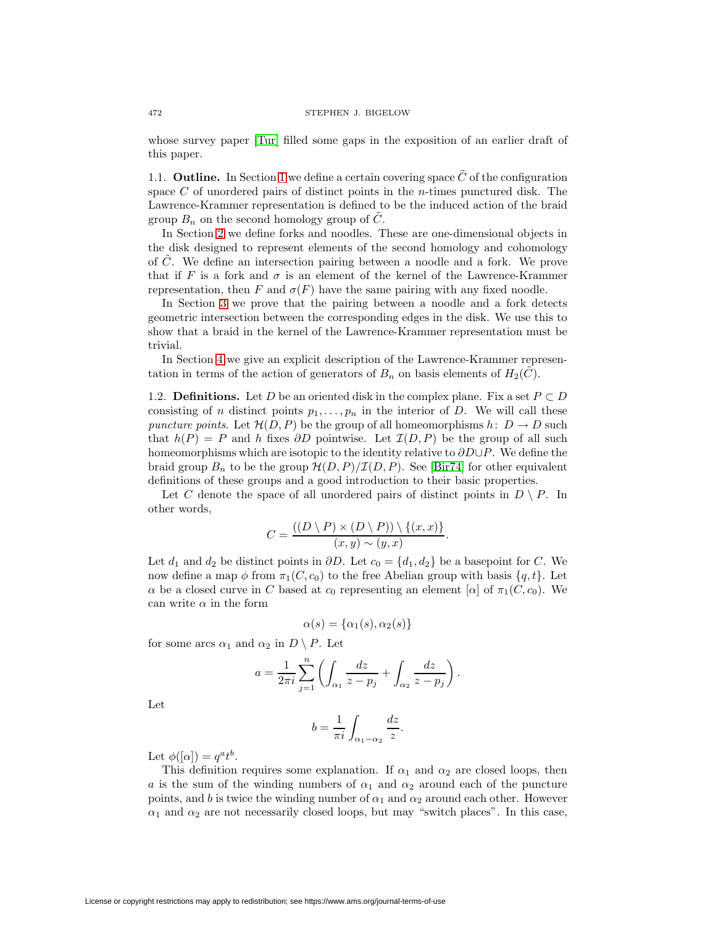whose survey paper [\[Tur\]](#page-15-6) filled some gaps in the exposition of an earlier draft of this paper.

1.1. **Outline.** In Section [1](#page-0-0) we define a certain covering space  $\tilde{C}$  of the configuration space  $C$  of unordered pairs of distinct points in the *n*-times punctured disk. The Lawrence-Krammer representation is defined to be the induced action of the braid group  $B_n$  on the second homology group of C.

In Section [2](#page-3-0) we define forks and noodles. These are one-dimensional objects in the disk designed to represent elements of the second homology and cohomology of C˜. We define an intersection pairing between a noodle and a fork. We prove that if F is a fork and  $\sigma$  is an element of the kernel of the Lawrence-Krammer representation, then F and  $\sigma(F)$  have the same pairing with any fixed noodle.

In Section [3](#page-8-0) we prove that the pairing between a noodle and a fork detects geometric intersection between the corresponding edges in the disk. We use this to show that a braid in the kernel of the Lawrence-Krammer representation must be trivial.

In Section [4](#page-11-0) we give an explicit description of the Lawrence-Krammer representation in terms of the action of generators of  $B_n$  on basis elements of  $H_2(\tilde{C})$ .

1.2. **Definitions.** Let D be an oriented disk in the complex plane. Fix a set  $P \subset D$ consisting of n distinct points  $p_1, \ldots, p_n$  in the interior of D. We will call these puncture points. Let  $\mathcal{H}(D, P)$  be the group of all homeomorphisms  $h: D \to D$  such that  $h(P) = P$  and h fixes  $\partial D$  pointwise. Let  $\mathcal{I}(D, P)$  be the group of all such homeomorphisms which are isotopic to the identity relative to  $\partial D \cup P$ . We define the braid group  $B_n$  to be the group  $\mathcal{H}(D, P)/\mathcal{I}(D, P)$ . See [\[Bir74\]](#page-14-1) for other equivalent definitions of these groups and a good introduction to their basic properties.

Let C denote the space of all unordered pairs of distinct points in  $D \setminus P$ . In other words,

$$
C = \frac{((D \setminus P) \times (D \setminus P)) \setminus \{(x, x)\}}{(x, y) \sim (y, x)}.
$$

Let  $d_1$  and  $d_2$  be distinct points in  $\partial D$ . Let  $c_0 = \{d_1, d_2\}$  be a basepoint for C. We now define a map  $\phi$  from  $\pi_1(C, c_0)$  to the free Abelian group with basis  $\{q, t\}$ . Let  $\alpha$  be a closed curve in C based at  $c_0$  representing an element [ $\alpha$ ] of  $\pi_1(C, c_0)$ . We can write  $\alpha$  in the form

$$
\alpha(s) = \{\alpha_1(s), \alpha_2(s)\}\
$$

for some arcs  $\alpha_1$  and  $\alpha_2$  in  $D \setminus P$ . Let

$$
a = \frac{1}{2\pi i} \sum_{j=1}^{n} \left( \int_{\alpha_1} \frac{dz}{z - p_j} + \int_{\alpha_2} \frac{dz}{z - p_j} \right).
$$

Let

$$
b = \frac{1}{\pi i} \int_{\alpha_1 - \alpha_2} \frac{dz}{z}.
$$

Let  $\phi([\alpha]) = q^a t^b$ .

This definition requires some explanation. If  $\alpha_1$  and  $\alpha_2$  are closed loops, then a is the sum of the winding numbers of  $\alpha_1$  and  $\alpha_2$  around each of the puncture points, and b is twice the winding number of  $\alpha_1$  and  $\alpha_2$  around each other. However  $\alpha_1$  and  $\alpha_2$  are not necessarily closed loops, but may "switch places". In this case,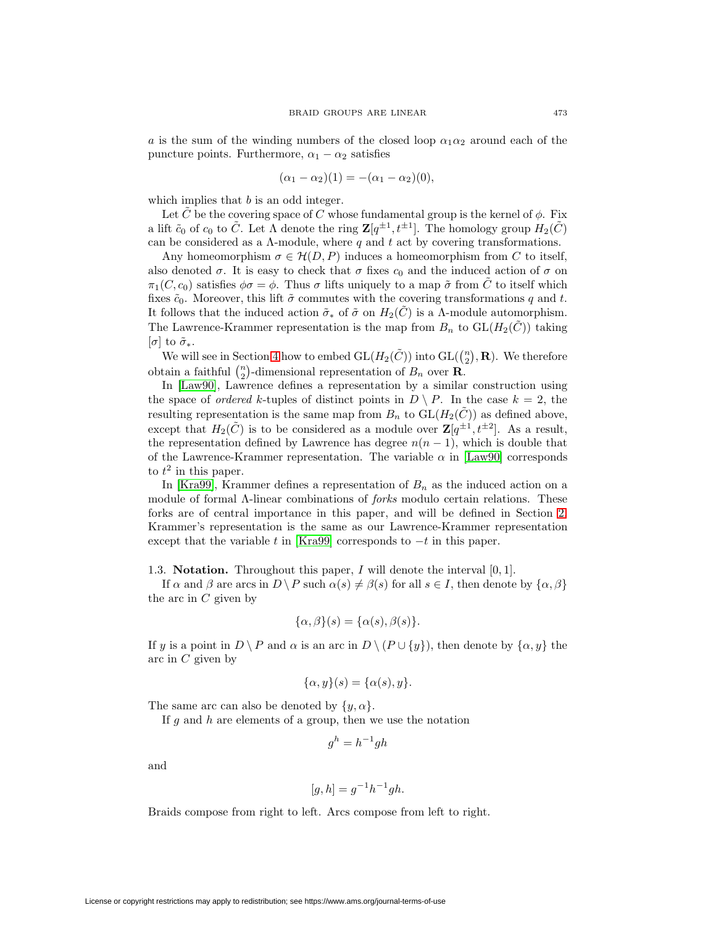a is the sum of the winding numbers of the closed loop  $\alpha_1 \alpha_2$  around each of the puncture points. Furthermore,  $\alpha_1 - \alpha_2$  satisfies

$$
(\alpha_1 - \alpha_2)(1) = -(\alpha_1 - \alpha_2)(0),
$$

which implies that b is an odd integer.

Let C be the covering space of C whose fundamental group is the kernel of  $\phi$ . Fix a lift  $\tilde{c}_0$  of  $c_0$  to  $\tilde{C}$ . Let  $\Lambda$  denote the ring  $\mathbf{Z}[q^{\pm 1}, t^{\pm 1}]$ . The homology group  $H_2(\tilde{C})$ can be considered as a  $\Lambda$ -module, where q and t act by covering transformations.

Any homeomorphism  $\sigma \in \mathcal{H}(D, P)$  induces a homeomorphism from C to itself, also denoted  $\sigma$ . It is easy to check that  $\sigma$  fixes  $c_0$  and the induced action of  $\sigma$  on  $\pi_1(C, c_0)$  satisfies  $\phi \sigma = \phi$ . Thus  $\sigma$  lifts uniquely to a map  $\tilde{\sigma}$  from C to itself which fixes  $\tilde{c}_0$ . Moreover, this lift  $\tilde{\sigma}$  commutes with the covering transformations q and t. It follows that the induced action  $\tilde{\sigma}_*$  of  $\tilde{\sigma}$  on  $H_2(C)$  is a  $\Lambda$ -module automorphism. The Lawrence-Krammer representation is the map from  $B_n$  to  $GL(H_2(\tilde{C}))$  taking  $[\sigma]$  to  $\tilde{\sigma}_*$ .

We will see in Section [4](#page-11-0) how to embed  $GL(H_2(\tilde{C}))$  into  $GL(\binom{n}{2}, \mathbf{R})$ . We therefore obtain a faithful  $\binom{n}{2}$ -dimensional representation of  $B_n$  over **R**.

In [\[Law90\]](#page-15-4), Lawrence defines a representation by a similar construction using the space of *ordered* k-tuples of distinct points in  $D \setminus P$ . In the case  $k = 2$ , the resulting representation is the same map from  $B_n$  to  $GL(H_2(C))$  as defined above, except that  $H_2(\tilde{C})$  is to be considered as a module over  $\mathbf{Z}[q^{\pm 1}, t^{\pm 2}]$ . As a result, the representation defined by Lawrence has degree  $n(n-1)$ , which is double that of the Lawrence-Krammer representation. The variable  $\alpha$  in [\[Law90\]](#page-15-4) corresponds to  $t^2$  in this paper.

In [\[Kra99\]](#page-15-3), Krammer defines a representation of  $B_n$  as the induced action on a module of formal Λ-linear combinations of forks modulo certain relations. These forks are of central importance in this paper, and will be defined in Section [2.](#page-3-0) Krammer's representation is the same as our Lawrence-Krammer representation except that the variable t in [\[Kra99\]](#page-15-3) corresponds to  $-t$  in this paper.

1.3. **Notation.** Throughout this paper, I will denote the interval [0, 1].

If  $\alpha$  and  $\beta$  are arcs in  $D \backslash P$  such  $\alpha(s) \neq \beta(s)$  for all  $s \in I$ , then denote by  $\{\alpha, \beta\}$ the arc in  $C$  given by

$$
\{\alpha,\beta\}(s) = \{\alpha(s),\beta(s)\}.
$$

If y is a point in  $D \setminus P$  and  $\alpha$  is an arc in  $D \setminus (P \cup \{y\})$ , then denote by  $\{\alpha, y\}$  the arc in  $C$  given by

$$
\{\alpha, y\}(s) = \{\alpha(s), y\}.
$$

The same arc can also be denoted by  $\{y, \alpha\}.$ 

If  $g$  and  $h$  are elements of a group, then we use the notation

$$
g^h = h^{-1}gh
$$

and

$$
[g,h] = g^{-1}h^{-1}gh.
$$

Braids compose from right to left. Arcs compose from left to right.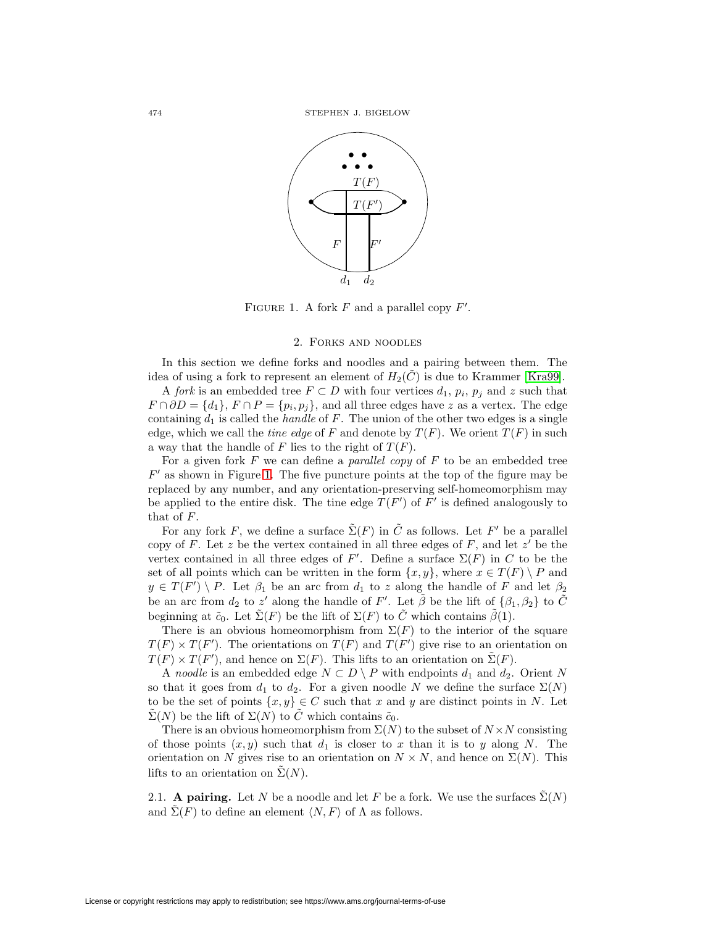

<span id="page-3-1"></span>FIGURE 1. A fork  $F$  and a parallel copy  $F'$ .

## 2. Forks and noodles

<span id="page-3-0"></span>In this section we define forks and noodles and a pairing between them. The idea of using a fork to represent an element of  $H_2(\tilde{C})$  is due to Krammer [\[Kra99\]](#page-15-3).

A fork is an embedded tree  $F \subset D$  with four vertices  $d_1, p_i, p_j$  and z such that  $F \cap \partial D = \{d_1\}, F \cap P = \{p_i, p_j\}, \text{ and all three edges have } z \text{ as a vertex. The edge }$ containing  $d_1$  is called the *handle* of F. The union of the other two edges is a single edge, which we call the time edge of F and denote by  $T(F)$ . We orient  $T(F)$  in such a way that the handle of F lies to the right of  $T(F)$ .

For a given fork  $F$  we can define a *parallel copy* of  $F$  to be an embedded tree  $F'$  as shown in Figure [1.](#page-3-1) The five puncture points at the top of the figure may be replaced by any number, and any orientation-preserving self-homeomorphism may be applied to the entire disk. The tine edge  $T(F')$  of F' is defined analogously to that of F.

For any fork F, we define a surface  $\tilde{\Sigma}(F)$  in  $\tilde{C}$  as follows. Let F' be a parallel copy of F. Let z be the vertex contained in all three edges of F, and let  $z'$  be the vertex contained in all three edges of F'. Define a surface  $\Sigma(F)$  in C to be the set of all points which can be written in the form  $\{x, y\}$ , where  $x \in T(F) \setminus P$  and  $y \in T(F') \setminus P$ . Let  $\beta_1$  be an arc from  $d_1$  to z along the handle of F and let  $\beta_2$ be an arc from  $d_2$  to  $z'$  along the handle of  $F'$ . Let  $\tilde{\beta}$  be the lift of  $\{\beta_1, \beta_2\}$  to  $\tilde{C}$ beginning at  $\tilde{c}_0$ . Let  $\tilde{\Sigma}(F)$  be the lift of  $\Sigma(F)$  to  $\tilde{C}$  which contains  $\tilde{\beta}(1)$ .

There is an obvious homeomorphism from  $\Sigma(F)$  to the interior of the square  $T(F) \times T(F')$ . The orientations on  $T(F)$  and  $T(F')$  give rise to an orientation on  $T(F) \times T(F')$ , and hence on  $\Sigma(F)$ . This lifts to an orientation on  $\tilde{\Sigma}(F)$ .

A noodle is an embedded edge  $N \subset D \setminus P$  with endpoints  $d_1$  and  $d_2$ . Orient N so that it goes from  $d_1$  to  $d_2$ . For a given noodle N we define the surface  $\Sigma(N)$ to be the set of points  $\{x, y\} \in C$  such that x and y are distinct points in N. Let  $\Sigma(N)$  be the lift of  $\Sigma(N)$  to C which contains  $\tilde{c}_0$ .

There is an obvious homeomorphism from  $\Sigma(N)$  to the subset of  $N \times N$  consisting of those points  $(x, y)$  such that  $d_1$  is closer to x than it is to y along N. The orientation on N gives rise to an orientation on  $N \times N$ , and hence on  $\Sigma(N)$ . This lifts to an orientation on  $\tilde{\Sigma}(N)$ .

2.1. **A pairing.** Let N be a noodle and let F be a fork. We use the surfaces  $\tilde{\Sigma}(N)$ and  $\Sigma(F)$  to define an element  $\langle N, F \rangle$  of  $\Lambda$  as follows.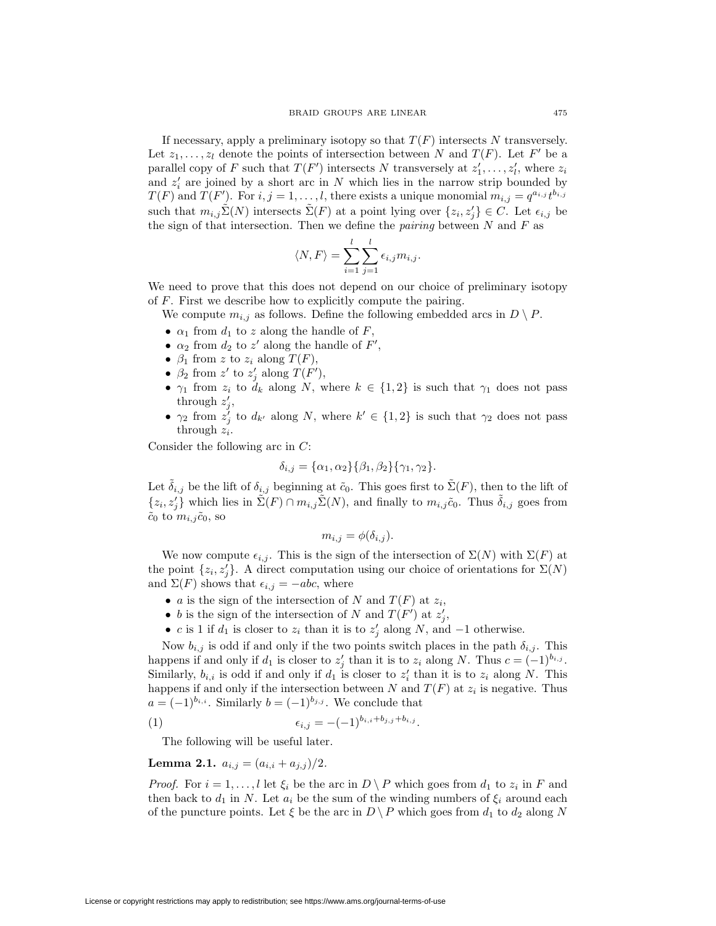If necessary, apply a preliminary isotopy so that  $T(F)$  intersects N transversely. Let  $z_1, \ldots, z_l$  denote the points of intersection between N and  $T(F)$ . Let F' be a parallel copy of F such that  $T(F')$  intersects N transversely at  $z'_1, \ldots, z'_l$ , where  $z_i$ and  $z_i'$  are joined by a short arc in N which lies in the narrow strip bounded by  $T(F)$  and  $T(F')$ . For  $i, j = 1, \ldots, l$ , there exists a unique monomial  $m_{i,j} = q^{a_{i,j}} t^{b_{i,j}}$ such that  $m_{i,j}\tilde{\Sigma}(N)$  intersects  $\tilde{\Sigma}(F)$  at a point lying over  $\{z_i, z'_j\} \in C$ . Let  $\epsilon_{i,j}$  be the sign of that intersection. Then we define the *pairing* between  $N$  and  $F$  as

$$
\langle N, F \rangle = \sum_{i=1}^{l} \sum_{j=1}^{l} \epsilon_{i,j} m_{i,j}.
$$

We need to prove that this does not depend on our choice of preliminary isotopy of F. First we describe how to explicitly compute the pairing.

We compute  $m_{i,j}$  as follows. Define the following embedded arcs in  $D \setminus P$ .

- $\alpha_1$  from  $d_1$  to z along the handle of F,
- $\alpha_2$  from  $d_2$  to  $z'$  along the handle of  $F'$ ,
- $\beta_1$  from z to  $z_i$  along  $T(F)$ ,
- $\beta_2$  from z' to z'<sub>j</sub> along  $T(F')$ ,
- $\gamma_1$  from  $z_i$  to  $d_k$  along N, where  $k \in \{1,2\}$  is such that  $\gamma_1$  does not pass through  $z'_j$ ,
- $\gamma_2$  from  $z'_j$  to  $d_{k'}$  along N, where  $k' \in \{1, 2\}$  is such that  $\gamma_2$  does not pass through  $z_i$ .

Consider the following arc in C:

$$
\delta_{i,j} = {\alpha_1, \alpha_2} {\beta_1, \beta_2} {\gamma_1, \gamma_2}.
$$

Let  $\tilde{\delta}_{i,j}$  be the lift of  $\delta_{i,j}$  beginning at  $\tilde{c}_0$ . This goes first to  $\tilde{\Sigma}(F)$ , then to the lift of  $\{z_i, z'_j\}$  which lies in  $\tilde{\Sigma}(F) \cap m_{i,j} \tilde{\Sigma}(N)$ , and finally to  $m_{i,j} \tilde{c}_0$ . Thus  $\tilde{\delta}_{i,j}$  goes from  $\tilde{c}_0$  to  $m_{i,j}\tilde{c}_0$ , so

$$
m_{i,j} = \phi(\delta_{i,j}).
$$

We now compute  $\epsilon_{i,j}$ . This is the sign of the intersection of  $\Sigma(N)$  with  $\Sigma(F)$  at the point  $\{z_i, z'_j\}$ . A direct computation using our choice of orientations for  $\Sigma(N)$ and  $\Sigma(F)$  shows that  $\epsilon_{i,j} = -abc$ , where

- *a* is the sign of the intersection of N and  $T(F)$  at  $z_i$ ,
- b is the sign of the intersection of N and  $T(F')$  at  $z'_{j}$ ,
- c is 1 if  $d_1$  is closer to  $z_i$  than it is to  $z'_j$  along N, and  $-1$  otherwise.

Now  $b_{i,j}$  is odd if and only if the two points switch places in the path  $\delta_{i,j}$ . This happens if and only if  $d_1$  is closer to  $z'_j$  than it is to  $z_i$  along N. Thus  $c = (-1)^{b_{i,j}}$ . Similarly,  $b_{i,i}$  is odd if and only if  $d_1$  is closer to  $z'_i$  than it is to  $z_i$  along N. This happens if and only if the intersection between N and  $T(F)$  at  $z_i$  is negative. Thus  $a = (-1)^{b_{i,i}}$ . Similarly  $b = (-1)^{b_{j,j}}$ . We conclude that

<span id="page-4-0"></span>(1) 
$$
\epsilon_{i,j} = -(-1)^{b_{i,i} + b_{j,j} + b_{i,j}}.
$$

The following will be useful later.

<span id="page-4-1"></span>**Lemma 2.1.**  $a_{i,j} = (a_{i,i} + a_{j,j})/2$ .

*Proof.* For  $i = 1, ..., l$  let  $\xi_i$  be the arc in  $D \setminus P$  which goes from  $d_1$  to  $z_i$  in F and then back to  $d_1$  in N. Let  $a_i$  be the sum of the winding numbers of  $\xi_i$  around each of the puncture points. Let  $\xi$  be the arc in  $D \setminus P$  which goes from  $d_1$  to  $d_2$  along N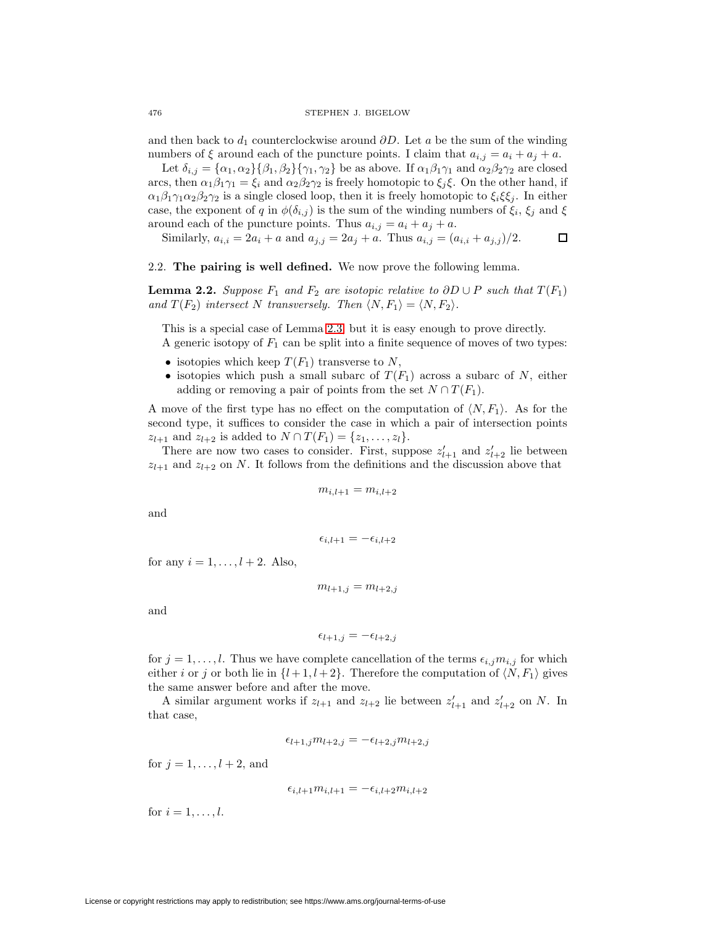and then back to  $d_1$  counterclockwise around  $\partial D$ . Let a be the sum of the winding numbers of  $\xi$  around each of the puncture points. I claim that  $a_{i,j} = a_i + a_j + a$ .

Let  $\delta_{i,j} = {\alpha_1, \alpha_2} {\beta_1, \beta_2} {\gamma_1, \gamma_2}$  be as above. If  $\alpha_1 \beta_1 \gamma_1$  and  $\alpha_2 \beta_2 \gamma_2$  are closed arcs, then  $\alpha_1\beta_1\gamma_1 = \xi_i$  and  $\alpha_2\beta_2\gamma_2$  is freely homotopic to  $\xi_i\xi$ . On the other hand, if  $\alpha_1\beta_1\gamma_1\alpha_2\beta_2\gamma_2$  is a single closed loop, then it is freely homotopic to  $\xi_i\xi\xi_j$ . In either case, the exponent of q in  $\phi(\delta_{i,j})$  is the sum of the winding numbers of  $\xi_i$ ,  $\xi_j$  and  $\xi$ around each of the puncture points. Thus  $a_{i,j} = a_i + a_j + a$ .

Similarly,  $a_{i,i} = 2a_i + a$  and  $a_{j,j} = 2a_j + a$ . Thus  $a_{i,j} = (a_{i,i} + a_{j,j})/2$ .  $\Box$ 

2.2. **The pairing is well defined.** We now prove the following lemma.

**Lemma 2.2.** Suppose  $F_1$  and  $F_2$  are isotopic relative to  $\partial D \cup P$  such that  $T(F_1)$ and  $T(F_2)$  intersect N transversely. Then  $\langle N,F_1\rangle = \langle N,F_2\rangle$ .

This is a special case of Lemma [2.3,](#page-6-0) but it is easy enough to prove directly. A generic isotopy of  $F_1$  can be split into a finite sequence of moves of two types:

- isotopies which keep  $T(F_1)$  transverse to N,
- isotopies which push a small subarc of  $T(F_1)$  across a subarc of N, either adding or removing a pair of points from the set  $N \cap T(F_1)$ .

A move of the first type has no effect on the computation of  $\langle N, F_1 \rangle$ . As for the second type, it suffices to consider the case in which a pair of intersection points  $z_{l+1}$  and  $z_{l+2}$  is added to  $N \cap T(F_1) = \{z_1, \ldots, z_l\}.$ 

There are now two cases to consider. First, suppose  $z'_{l+1}$  and  $z'_{l+2}$  lie between  $z_{l+1}$  and  $z_{l+2}$  on N. It follows from the definitions and the discussion above that

$$
m_{i,l+1} = m_{i,l+2}
$$

and

$$
\epsilon_{i,l+1} = -\epsilon_{i,l+2}
$$

for any  $i = 1, \ldots, l + 2$ . Also,

$$
m_{l+1,j} = m_{l+2,j}
$$

and

$$
\epsilon_{l+1,j} = -\epsilon_{l+2,j}
$$

for  $j = 1, \ldots, l$ . Thus we have complete cancellation of the terms  $\epsilon_{i,j}m_{i,j}$  for which either i or j or both lie in  $\{l+1, l+2\}$ . Therefore the computation of  $\langle N, F_1 \rangle$  gives the same answer before and after the move.

A similar argument works if  $z_{l+1}$  and  $z_{l+2}$  lie between  $z'_{l+1}$  and  $z'_{l+2}$  on N. In that case,

$$
\epsilon_{l+1,j} m_{l+2,j} = -\epsilon_{l+2,j} m_{l+2,j}
$$

for  $j = 1, \ldots, l + 2$ , and

$$
\epsilon_{i,l+1}m_{i,l+1}=-\epsilon_{i,l+2}m_{i,l+2}
$$

for  $i = 1, \ldots, l$ .

License or copyright restrictions may apply to redistribution; see https://www.ams.org/journal-terms-of-use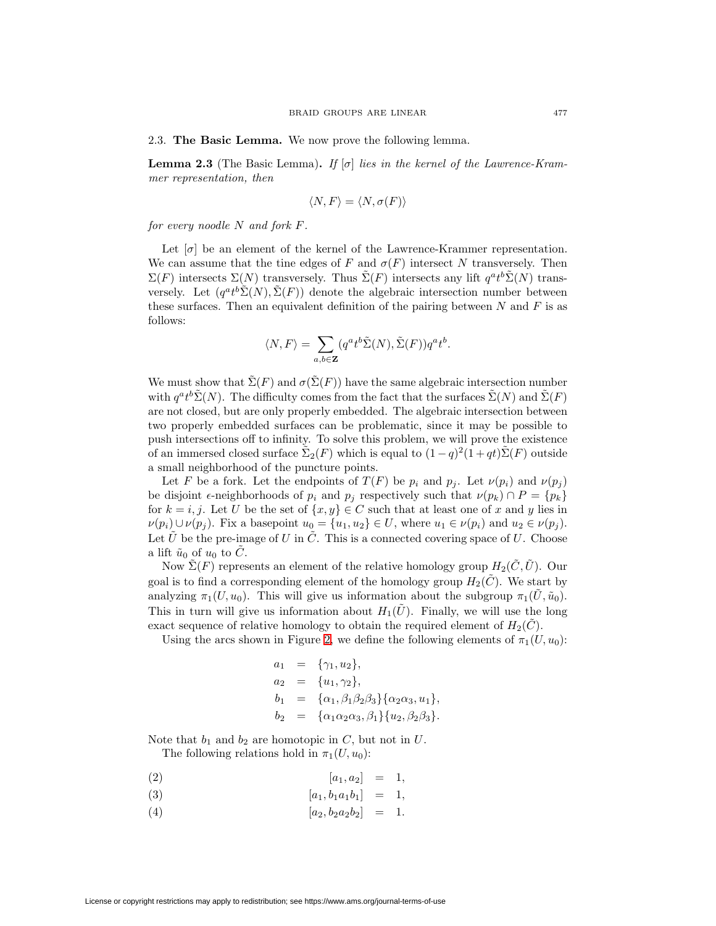<span id="page-6-0"></span>2.3. **The Basic Lemma.** We now prove the following lemma.

**Lemma 2.3** (The Basic Lemma). If  $[\sigma]$  lies in the kernel of the Lawrence-Krammer representation, then

$$
\langle N, F \rangle = \langle N, \sigma(F) \rangle
$$

for every noodle  $N$  and fork  $F$ .

Let  $[\sigma]$  be an element of the kernel of the Lawrence-Krammer representation. We can assume that the tine edges of F and  $\sigma(F)$  intersect N transversely. Then  $\Sigma(F)$  intersects  $\Sigma(N)$  transversely. Thus  $\tilde{\Sigma}(F)$  intersects any lift  $q^a t^b \tilde{\Sigma}(N)$  transversely. Let  $(q^a t^b \tilde{\Sigma}(N), \tilde{\Sigma}(F))$  denote the algebraic intersection number between these surfaces. Then an equivalent definition of the pairing between  $N$  and  $F$  is as follows:

$$
\langle N, F \rangle = \sum_{a,b \in \mathbf{Z}} (q^a t^b \tilde{\Sigma}(N), \tilde{\Sigma}(F)) q^a t^b.
$$

We must show that  $\tilde{\Sigma}(F)$  and  $\sigma(\tilde{\Sigma}(F))$  have the same algebraic intersection number with  $q^a t^b \tilde{\Sigma}(N)$ . The difficulty comes from the fact that the surfaces  $\tilde{\Sigma}(N)$  and  $\tilde{\Sigma}(F)$ are not closed, but are only properly embedded. The algebraic intersection between two properly embedded surfaces can be problematic, since it may be possible to push intersections off to infinity. To solve this problem, we will prove the existence of an immersed closed surface  $\Sigma_2(F)$  which is equal to  $(1-q)^2(1+qt)\Sigma(F)$  outside a small neighborhood of the puncture points.

Let F be a fork. Let the endpoints of  $T(F)$  be  $p_i$  and  $p_j$ . Let  $\nu(p_i)$  and  $\nu(p_j)$ be disjoint  $\epsilon$ -neighborhoods of  $p_i$  and  $p_j$  respectively such that  $\nu(p_k) \cap P = \{p_k\}$ for  $k = i, j$ . Let U be the set of  $\{x, y\} \in C$  such that at least one of x and y lies in  $\nu(p_i) \cup \nu(p_j)$ . Fix a basepoint  $u_0 = \{u_1, u_2\} \in U$ , where  $u_1 \in \nu(p_i)$  and  $u_2 \in \nu(p_j)$ . Let  $\tilde{U}$  be the pre-image of U in  $\tilde{C}$ . This is a connected covering space of U. Choose a lift  $\tilde{u}_0$  of  $u_0$  to  $\tilde{C}$ .

Now  $\tilde{\Sigma}(F)$  represents an element of the relative homology group  $H_2(\tilde{C}, \tilde{U})$ . Our goal is to find a corresponding element of the homology group  $H_2(\tilde{C})$ . We start by analyzing  $\pi_1(U, u_0)$ . This will give us information about the subgroup  $\pi_1(U, \tilde{u}_0)$ . This in turn will give us information about  $H_1(\tilde{U})$ . Finally, we will use the long exact sequence of relative homology to obtain the required element of  $H_2(\tilde{C})$ .

Using the arcs shown in Figure [2,](#page-7-0) we define the following elements of  $\pi_1(U, u_0)$ :

$$
a_1 = {\gamma_1, u_2},
$$
  
\n
$$
a_2 = {u_1, \gamma_2},
$$
  
\n
$$
b_1 = {\alpha_1, \beta_1 \beta_2 \beta_3} {\alpha_2 \alpha_3, u_1},
$$
  
\n
$$
b_2 = {\alpha_1 \alpha_2 \alpha_3, \beta_1} {u_2, \beta_2 \beta_3}.
$$

Note that  $b_1$  and  $b_2$  are homotopic in C, but not in U.

<span id="page-6-1"></span>The following relations hold in  $\pi_1(U, u_0)$ :

$$
(2) \t\t [a_1, a_2] = 1,
$$

$$
(3) \t\t [a_1, b_1 a_1 b_1] = 1,
$$

(4) 
$$
[a_2, b_2 a_2 b_2] = 1.
$$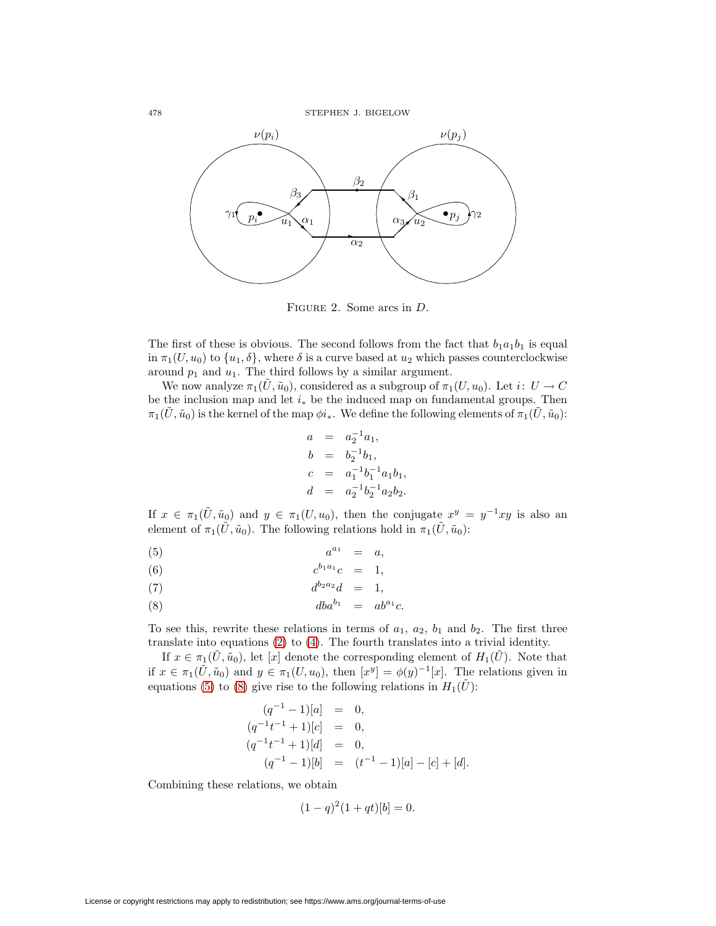

<span id="page-7-0"></span>Figure 2. Some arcs in D.

The first of these is obvious. The second follows from the fact that  $b_1a_1b_1$  is equal in  $\pi_1(U, u_0)$  to  $\{u_1, \delta\}$ , where  $\delta$  is a curve based at  $u_2$  which passes counterclockwise around  $p_1$  and  $u_1$ . The third follows by a similar argument.

We now analyze  $\pi_1(\tilde{U}, \tilde{u}_0)$ , considered as a subgroup of  $\pi_1(U, u_0)$ . Let  $i: U \to C$ be the inclusion map and let  $i_*$  be the induced map on fundamental groups. Then  $\pi_1(\tilde{U}, \tilde{u}_0)$  is the kernel of the map  $\phi i_*$ . We define the following elements of  $\pi_1(\tilde{U}, \tilde{u}_0)$ :

$$
a = a_2^{-1}a_1,
$$
  
\n
$$
b = b_2^{-1}b_1,
$$
  
\n
$$
c = a_1^{-1}b_1^{-1}a_1b_1,
$$
  
\n
$$
d = a_2^{-1}b_2^{-1}a_2b_2.
$$

If  $x \in \pi_1(\tilde{U}, \tilde{u}_0)$  and  $y \in \pi_1(U, u_0)$ , then the conjugate  $x^y = y^{-1}xy$  is also an element of  $\pi_1(\tilde{U}, \tilde{u}_0)$ . The following relations hold in  $\pi_1(\tilde{U}, \tilde{u}_0)$ :

<span id="page-7-1"></span>
$$
(5) \qquad \qquad a^{a_1} = a,
$$

(6) 
$$
c^{b_1 a_1} c = 1,
$$

$$
(7) \t\t d^{b_2a_2}d = 1,
$$

$$
(8) \t\t dba^{b_1} = ab^{a_1}c.
$$

To see this, rewrite these relations in terms of  $a_1$ ,  $a_2$ ,  $b_1$  and  $b_2$ . The first three translate into equations [\(2\)](#page-6-1) to [\(4\)](#page-6-1). The fourth translates into a trivial identity.

If  $x \in \pi_1(\tilde{U}, \tilde{u}_0)$ , let [x] denote the corresponding element of  $H_1(\tilde{U})$ . Note that if  $x \in \pi_1(\tilde{U}, \tilde{u}_0)$  and  $y \in \pi_1(U, u_0)$ , then  $[x^y] = \phi(y)^{-1}[x]$ . The relations given in equations [\(5\)](#page-7-1) to [\(8\)](#page-7-1) give rise to the following relations in  $H_1(\tilde{U})$ :

$$
(q^{-1} - 1)[a] = 0,
$$
  
\n
$$
(q^{-1}t^{-1} + 1)[c] = 0,
$$
  
\n
$$
(q^{-1}t^{-1} + 1)[d] = 0,
$$
  
\n
$$
(q^{-1} - 1)[b] = (t^{-1} - 1)[a] - [c] + [d].
$$

Combining these relations, we obtain

$$
(1 - q)^2 (1 + qt)[b] = 0.
$$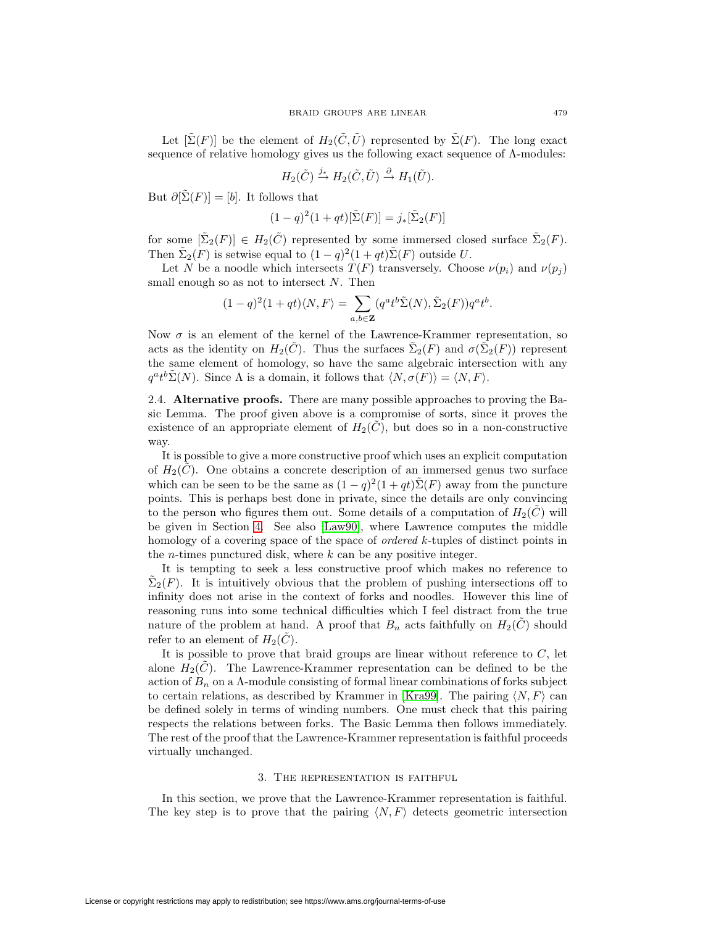Let  $[\tilde{\Sigma}(F)]$  be the element of  $H_2(\tilde{C}, \tilde{U})$  represented by  $\tilde{\Sigma}(F)$ . The long exact sequence of relative homology gives us the following exact sequence of Λ-modules:

$$
H_2(\tilde{C}) \stackrel{j_*}{\to} H_2(\tilde{C}, \tilde{U}) \stackrel{\partial}{\to} H_1(\tilde{U}).
$$

But  $\partial[\tilde{\Sigma}(F)] = [b]$ . It follows that

$$
(1-q)^2(1+qt)[\tilde{\Sigma}(F)]=j_*[\tilde{\Sigma}_2(F)]
$$

for some  $[\tilde{\Sigma}_2(F)] \in H_2(\tilde{C})$  represented by some immersed closed surface  $\tilde{\Sigma}_2(F)$ . Then  $\tilde{\Sigma}_2(F)$  is setwise equal to  $(1-q)^2(1+qt)\tilde{\Sigma}(F)$  outside U.

Let N be a noodle which intersects  $T(F)$  transversely. Choose  $\nu(p_i)$  and  $\nu(p_j)$ small enough so as not to intersect  $N$ . Then

$$
(1-q)^{2}(1+qt)\langle N, F\rangle = \sum_{a,b\in\mathbf{Z}} (q^{a}t^{b}\tilde{\Sigma}(N), \tilde{\Sigma}_{2}(F))q^{a}t^{b}.
$$

Now  $\sigma$  is an element of the kernel of the Lawrence-Krammer representation, so acts as the identity on  $H_2(\tilde{C})$ . Thus the surfaces  $\tilde{\Sigma}_2(F)$  and  $\sigma(\tilde{\Sigma}_2(F))$  represent the same element of homology, so have the same algebraic intersection with any  $q^{\alpha}t^{\beta}\tilde{\Sigma}(N)$ . Since  $\Lambda$  is a domain, it follows that  $\langle N, \sigma(F)\rangle = \langle N, F\rangle$ .

2.4. **Alternative proofs.** There are many possible approaches to proving the Basic Lemma. The proof given above is a compromise of sorts, since it proves the existence of an appropriate element of  $H_2(C)$ , but does so in a non-constructive way.

It is possible to give a more constructive proof which uses an explicit computation of  $H_2(C)$ . One obtains a concrete description of an immersed genus two surface which can be seen to be the same as  $(1 - q)^2 (1 + qt) \tilde{\Sigma}(F)$  away from the puncture points. This is perhaps best done in private, since the details are only convincing to the person who figures them out. Some details of a computation of  $H_2(C)$  will be given in Section [4.](#page-11-0) See also [\[Law90\]](#page-15-4), where Lawrence computes the middle homology of a covering space of the space of *ordered k*-tuples of distinct points in the *n*-times punctured disk, where  $k$  can be any positive integer.

It is tempting to seek a less constructive proof which makes no reference to  $\Sigma_2(F)$ . It is intuitively obvious that the problem of pushing intersections off to infinity does not arise in the context of forks and noodles. However this line of reasoning runs into some technical difficulties which I feel distract from the true nature of the problem at hand. A proof that  $B_n$  acts faithfully on  $H_2(C)$  should refer to an element of  $H_2(C)$ .

It is possible to prove that braid groups are linear without reference to  $C$ , let alone  $H_2(C)$ . The Lawrence-Krammer representation can be defined to be the action of  $B_n$  on a  $\Lambda$ -module consisting of formal linear combinations of forks subject to certain relations, as described by Krammer in [\[Kra99\]](#page-15-3). The pairing  $\langle N, F \rangle$  can be defined solely in terms of winding numbers. One must check that this pairing respects the relations between forks. The Basic Lemma then follows immediately. The rest of the proof that the Lawrence-Krammer representation is faithful proceeds virtually unchanged.

#### 3. The representation is faithful

<span id="page-8-0"></span>In this section, we prove that the Lawrence-Krammer representation is faithful. The key step is to prove that the pairing  $\langle N, F \rangle$  detects geometric intersection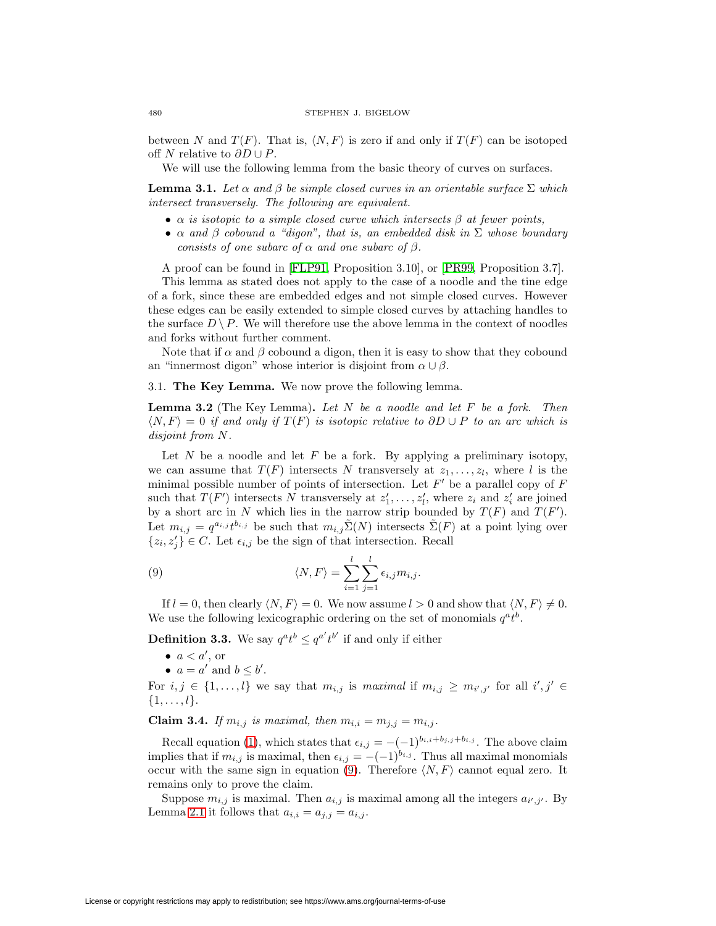between N and  $T(F)$ . That is,  $\langle N, F \rangle$  is zero if and only if  $T(F)$  can be isotoped off N relative to  $\partial D \cup P$ .

We will use the following lemma from the basic theory of curves on surfaces.

<span id="page-9-1"></span>**Lemma 3.1.** Let  $\alpha$  and  $\beta$  be simple closed curves in an orientable surface  $\Sigma$  which intersect transversely. The following are equivalent.

- $\alpha$  is isotopic to a simple closed curve which intersects  $\beta$  at fewer points,
- $\alpha$  and  $\beta$  cobound a "digon", that is, an embedded disk in  $\Sigma$  whose boundary consists of one subarc of  $\alpha$  and one subarc of  $\beta$ .

A proof can be found in [\[FLP91,](#page-15-7) Proposition 3.10], or [\[PR99,](#page-15-8) Proposition 3.7].

This lemma as stated does not apply to the case of a noodle and the tine edge of a fork, since these are embedded edges and not simple closed curves. However these edges can be easily extended to simple closed curves by attaching handles to the surface  $D \setminus P$ . We will therefore use the above lemma in the context of noodles and forks without further comment.

Note that if  $\alpha$  and  $\beta$  cobound a digon, then it is easy to show that they cobound an "innermost digon" whose interior is disjoint from  $\alpha \cup \beta$ .

3.1. **The Key Lemma.** We now prove the following lemma.

**Lemma 3.2** (The Key Lemma)**.** Let N be a noodle and let F be a fork. Then  $\langle N, F \rangle = 0$  if and only if  $T(F)$  is isotopic relative to  $\partial D \cup P$  to an arc which is disjoint from N.

Let  $N$  be a noodle and let  $F$  be a fork. By applying a preliminary isotopy, we can assume that  $T(F)$  intersects N transversely at  $z_1, \ldots, z_l$ , where l is the minimal possible number of points of intersection. Let  $F'$  be a parallel copy of  $F$ such that  $T(F')$  intersects N transversely at  $z'_1, \ldots, z'_l$ , where  $z_i$  and  $z'_i$  are joined by a short arc in N which lies in the narrow strip bounded by  $T(F)$  and  $T(F')$ . Let  $m_{i,j} = q^{a_{i,j}} t^{b_{i,j}}$  be such that  $m_{i,j} \tilde{\Sigma}(N)$  intersects  $\tilde{\Sigma}(F)$  at a point lying over  $\{z_i, z'_j\} \in C$ . Let  $\epsilon_{i,j}$  be the sign of that intersection. Recall

<span id="page-9-0"></span>(9) 
$$
\langle N, F \rangle = \sum_{i=1}^{l} \sum_{j=1}^{l} \epsilon_{i,j} m_{i,j}.
$$

If  $l = 0$ , then clearly  $\langle N, F \rangle = 0$ . We now assume  $l > 0$  and show that  $\langle N, F \rangle \neq 0$ . We use the following lexicographic ordering on the set of monomials  $q^a t^b$ .

**Definition 3.3.** We say  $q^a t^b \leq q^{a'} t^{b'}$  if and only if either

- $a < a'$ , or
- $a = a'$  and  $b \leq b'$ .

For  $i, j \in \{1, ..., l\}$  we say that  $m_{i,j}$  is maximal if  $m_{i,j} \geq m_{i',j'}$  for all  $i', j' \in$  $\{1,\ldots,l\}.$ 

**Claim 3.4.** If  $m_{i,j}$  is maximal, then  $m_{i,i} = m_{j,j} = m_{i,j}$ .

Recall equation [\(1\)](#page-4-0), which states that  $\epsilon_{i,j} = -(-1)^{b_{i,i}+b_{j,j}+b_{i,j}}$ . The above claim implies that if  $m_{i,j}$  is maximal, then  $\epsilon_{i,j} = -(-1)^{b_{i,j}}$ . Thus all maximal monomials occur with the same sign in equation [\(9\)](#page-9-0). Therefore  $\langle N, F \rangle$  cannot equal zero. It remains only to prove the claim.

Suppose  $m_{i,j}$  is maximal. Then  $a_{i,j}$  is maximal among all the integers  $a_{i',j'}$ . By Lemma [2.1](#page-4-1) it follows that  $a_{i,i} = a_{j,j} = a_{i,j}$ .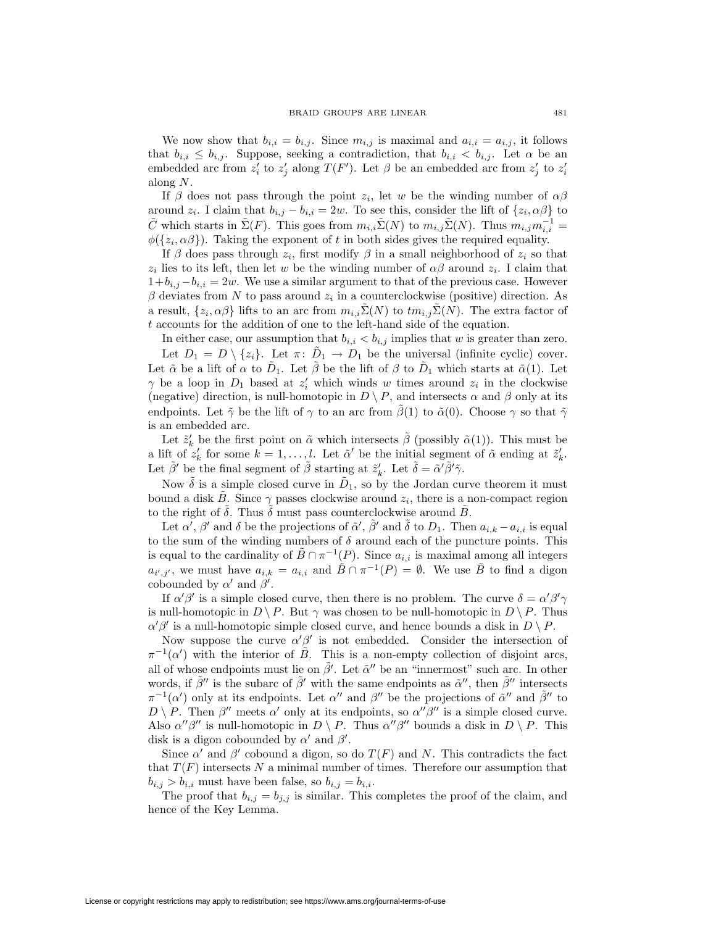We now show that  $b_{i,i} = b_{i,j}$ . Since  $m_{i,j}$  is maximal and  $a_{i,i} = a_{i,j}$ , it follows that  $b_{i,i} \leq b_{i,j}$ . Suppose, seeking a contradiction, that  $b_{i,i} < b_{i,j}$ . Let  $\alpha$  be an embedded arc from  $z_i'$  to  $z_j'$  along  $T(F')$ . Let  $\beta$  be an embedded arc from  $z_j'$  to  $z_i'$ along N.

If  $\beta$  does not pass through the point  $z_i$ , let w be the winding number of  $\alpha\beta$ around  $z_i$ . I claim that  $b_{i,j} - b_{i,i} = 2w$ . To see this, consider the lift of  $\{z_i, \alpha \beta\}$  to  $\tilde{C}$  which starts in  $\tilde{\Sigma}(F)$ . This goes from  $m_{i,i}\tilde{\Sigma}(N)$  to  $m_{i,j}\tilde{\Sigma}(N)$ . Thus  $m_{i,j}m_{i,i}^{-1}$  $\phi({z_i, \alpha\beta})$ . Taking the exponent of t in both sides gives the required equality.

If  $\beta$  does pass through  $z_i$ , first modify  $\beta$  in a small neighborhood of  $z_i$  so that  $z_i$  lies to its left, then let w be the winding number of  $\alpha\beta$  around  $z_i$ . I claim that  $1+b_{i,j}-b_{i,i} = 2w$ . We use a similar argument to that of the previous case. However  $\beta$  deviates from N to pass around  $z_i$  in a counterclockwise (positive) direction. As a result,  $\{z_i, \alpha \beta\}$  lifts to an arc from  $m_{i,i} \tilde{\Sigma}(N)$  to  $t m_{i,j} \tilde{\Sigma}(N)$ . The extra factor of  $\boldsymbol{t}$  accounts for the addition of one to the left-hand side of the equation.

In either case, our assumption that  $b_{i,i} < b_{i,j}$  implies that w is greater than zero. Let  $D_1 = D \setminus \{z_i\}$ . Let  $\pi: D_1 \to D_1$  be the universal (infinite cyclic) cover. Let  $\tilde{\alpha}$  be a lift of  $\alpha$  to  $\tilde{D}_1$ . Let  $\tilde{\beta}$  be the lift of  $\beta$  to  $\tilde{D}_1$  which starts at  $\tilde{\alpha}(1)$ . Let  $\gamma$  be a loop in  $D_1$  based at  $z'_i$  which winds w times around  $z_i$  in the clockwise (negative) direction, is null-homotopic in  $D \setminus P$ , and intersects  $\alpha$  and  $\beta$  only at its endpoints. Let  $\tilde{\gamma}$  be the lift of  $\gamma$  to an arc from  $\tilde{\beta}(1)$  to  $\tilde{\alpha}(0)$ . Choose  $\gamma$  so that  $\tilde{\gamma}$ is an embedded arc.

Let  $\tilde{z}'_k$  be the first point on  $\tilde{\alpha}$  which intersects  $\tilde{\beta}$  (possibly  $\tilde{\alpha}(1)$ ). This must be a lift of  $z'_k$  for some  $k = 1, \ldots, l$ . Let  $\tilde{\alpha}'$  be the initial segment of  $\tilde{\alpha}$  ending at  $\tilde{z}'_k$ . Let  $\tilde{\beta}'$  be the final segment of  $\tilde{\beta}$  starting at  $\tilde{z}'_k$ . Let  $\tilde{\delta} = \tilde{\alpha}' \tilde{\beta}' \tilde{\gamma}$ .

Now  $\delta$  is a simple closed curve in  $\tilde{D}_1$ , so by the Jordan curve theorem it must bound a disk B. Since  $\gamma$  passes clockwise around  $z_i$ , there is a non-compact region to the right of  $\delta$ . Thus  $\delta$  must pass counterclockwise around B.

Let  $\alpha'$ ,  $\beta'$  and  $\delta$  be the projections of  $\tilde{\alpha}'$ ,  $\tilde{\beta}'$  and  $\tilde{\delta}$  to  $D_1$ . Then  $a_{i,k} - a_{i,i}$  is equal to the sum of the winding numbers of  $\delta$  around each of the puncture points. This is equal to the cardinality of  $\tilde{B} \cap \pi^{-1}(P)$ . Since  $a_{i,i}$  is maximal among all integers  $a_{i',j'}$ , we must have  $a_{i,k} = a_{i,i}$  and  $\tilde{B} \cap \pi^{-1}(P) = \emptyset$ . We use  $\tilde{B}$  to find a digon cobounded by  $\alpha'$  and  $\beta'$ .

If  $\alpha' \beta'$  is a simple closed curve, then there is no problem. The curve  $\delta = \alpha' \beta' \gamma$ is null-homotopic in  $D \setminus P$ . But  $\gamma$  was chosen to be null-homotopic in  $D \setminus P$ . Thus  $\alpha' \beta'$  is a null-homotopic simple closed curve, and hence bounds a disk in  $D \setminus P$ .

Now suppose the curve  $\alpha' \beta'$  is not embedded. Consider the intersection of  $\pi^{-1}(\alpha')$  with the interior of  $\tilde{B}$ . This is a non-empty collection of disjoint arcs, all of whose endpoints must lie on  $\tilde{\beta}'$ . Let  $\tilde{\alpha}''$  be an "innermost" such arc. In other words, if  $\tilde{\beta}''$  is the subarc of  $\tilde{\beta}'$  with the same endpoints as  $\tilde{\alpha}''$ , then  $\tilde{\beta}''$  intersects  $\pi^{-1}(\alpha')$  only at its endpoints. Let  $\alpha''$  and  $\beta''$  be the projections of  $\tilde{\alpha}''$  and  $\tilde{\beta}''$  to  $D \setminus P$ . Then  $\beta''$  meets  $\alpha'$  only at its endpoints, so  $\alpha''\beta''$  is a simple closed curve. Also  $\alpha''\beta''$  is null-homotopic in  $D \setminus P$ . Thus  $\alpha''\beta''$  bounds a disk in  $D \setminus P$ . This disk is a digon cobounded by  $\alpha'$  and  $\beta'$ .

Since  $\alpha'$  and  $\beta'$  cobound a digon, so do  $T(F)$  and N. This contradicts the fact that  $T(F)$  intersects N a minimal number of times. Therefore our assumption that  $b_{i,j} > b_{i,i}$  must have been false, so  $b_{i,j} = b_{i,i}.$ 

The proof that  $b_{i,j} = b_{j,j}$  is similar. This completes the proof of the claim, and hence of the Key Lemma.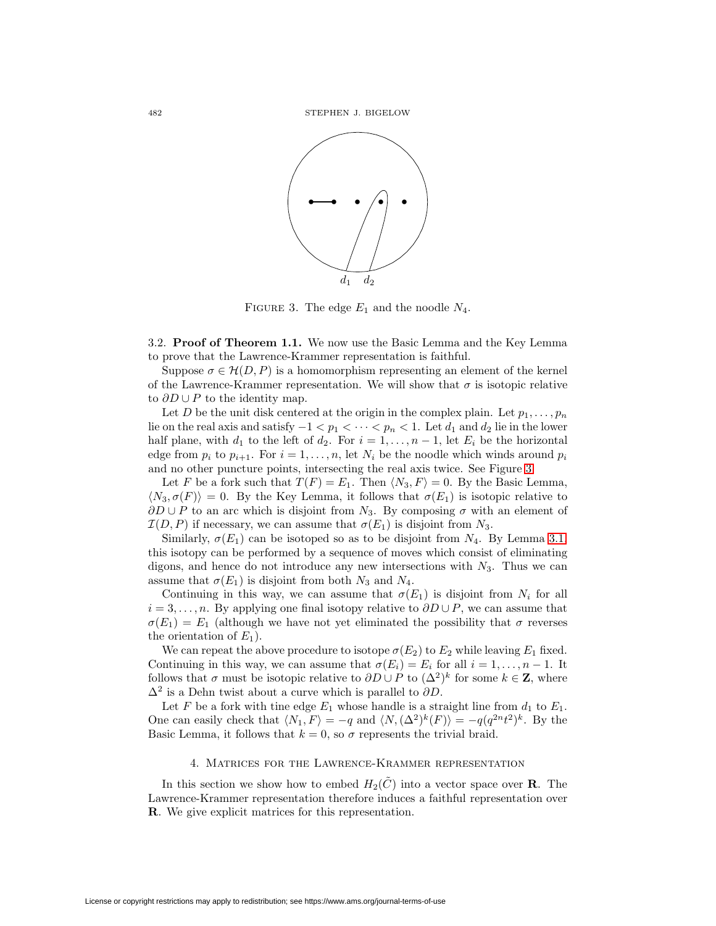

<span id="page-11-1"></span>FIGURE 3. The edge  $E_1$  and the noodle  $N_4$ .

3.2. **Proof of Theorem 1.1.** We now use the Basic Lemma and the Key Lemma to prove that the Lawrence-Krammer representation is faithful.

Suppose  $\sigma \in \mathcal{H}(D, P)$  is a homomorphism representing an element of the kernel of the Lawrence-Krammer representation. We will show that  $\sigma$  is isotopic relative to  $\partial D \cup P$  to the identity map.

Let D be the unit disk centered at the origin in the complex plain. Let  $p_1, \ldots, p_n$ lie on the real axis and satisfy  $-1 < p_1 < \cdots < p_n < 1$ . Let  $d_1$  and  $d_2$  lie in the lower half plane, with  $d_1$  to the left of  $d_2$ . For  $i = 1, \ldots, n-1$ , let  $E_i$  be the horizontal edge from  $p_i$  to  $p_{i+1}$ . For  $i = 1, \ldots, n$ , let  $N_i$  be the noodle which winds around  $p_i$ and no other puncture points, intersecting the real axis twice. See Figure [3.](#page-11-1)

Let F be a fork such that  $T(F) = E_1$ . Then  $\langle N_3, F \rangle = 0$ . By the Basic Lemma,  $\langle N_3, \sigma(F) \rangle = 0$ . By the Key Lemma, it follows that  $\sigma(E_1)$  is isotopic relative to  $\partial D \cup P$  to an arc which is disjoint from N<sub>3</sub>. By composing  $\sigma$  with an element of  $\mathcal{I}(D, P)$  if necessary, we can assume that  $\sigma(E_1)$  is disjoint from  $N_3$ .

Similarly,  $\sigma(E_1)$  can be isotoped so as to be disjoint from  $N_4$ . By Lemma [3.1,](#page-9-1) this isotopy can be performed by a sequence of moves which consist of eliminating digons, and hence do not introduce any new intersections with  $N_3$ . Thus we can assume that  $\sigma(E_1)$  is disjoint from both  $N_3$  and  $N_4$ .

Continuing in this way, we can assume that  $\sigma(E_1)$  is disjoint from  $N_i$  for all  $i = 3, \ldots, n$ . By applying one final isotopy relative to  $\partial D \cup P$ , we can assume that  $\sigma(E_1) = E_1$  (although we have not yet eliminated the possibility that  $\sigma$  reverses the orientation of  $E_1$ ).

We can repeat the above procedure to isotope  $\sigma(E_2)$  to  $E_2$  while leaving  $E_1$  fixed. Continuing in this way, we can assume that  $\sigma(E_i) = E_i$  for all  $i = 1, \ldots, n - 1$ . It follows that  $\sigma$  must be isotopic relative to  $\partial D \cup P$  to  $({\Delta}^2)^k$  for some  $k \in \mathbb{Z}$ , where  $\Delta^2$  is a Dehn twist about a curve which is parallel to  $\partial D$ .

Let F be a fork with tine edge  $E_1$  whose handle is a straight line from  $d_1$  to  $E_1$ . One can easily check that  $\langle N_1, F \rangle = -q$  and  $\langle N, (\Delta^2)^k(F) \rangle = -q(q^{2n}t^2)^k$ . By the Basic Lemma, it follows that  $k = 0$ , so  $\sigma$  represents the trivial braid.

### 4. Matrices for the Lawrence-Krammer representation

<span id="page-11-2"></span><span id="page-11-0"></span>In this section we show how to embed  $H_2(\tilde{C})$  into a vector space over **R**. The Lawrence-Krammer representation therefore induces a faithful representation over **R**. We give explicit matrices for this representation.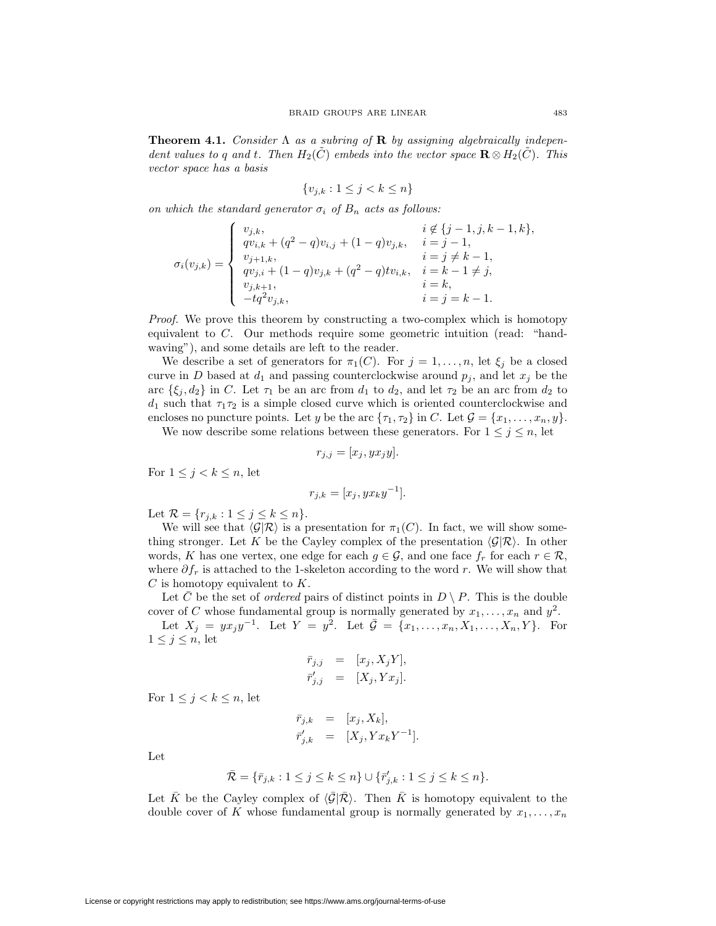**Theorem 4.1.** Consider  $\Lambda$  as a subring of **R** by assigning algebraically independent values to q and t. Then  $H_2(\tilde{C})$  embeds into the vector space  $\mathbf{R} \otimes H_2(\tilde{C})$ . This vector space has a basis

$$
\{v_{j,k} : 1 \le j < k \le n\}
$$

on which the standard generator  $\sigma_i$  of  $B_n$  acts as follows:

$$
\sigma_i(v_{j,k}) = \begin{cases} v_{j,k}, & i \notin \{j-1,j,k-1,k\}, \\ qv_{i,k} + (q^2 - q)v_{i,j} + (1-q)v_{j,k}, & i = j-1, \\ v_{j+1,k}, & i = j \neq k-1, \\ qv_{j,i} + (1-q)v_{j,k} + (q^2 - q)tv_{i,k}, & i = k-1 \neq j, \\ v_{j,k+1}, & i = k, \\ -tq^2v_{j,k}, & i = j = k-1. \end{cases}
$$

Proof. We prove this theorem by constructing a two-complex which is homotopy equivalent to C. Our methods require some geometric intuition (read: "handwaving"), and some details are left to the reader.

We describe a set of generators for  $\pi_1(C)$ . For  $j = 1, \ldots, n$ , let  $\xi_j$  be a closed curve in D based at  $d_1$  and passing counterclockwise around  $p_j$ , and let  $x_j$  be the arc  $\{\xi_j, d_2\}$  in C. Let  $\tau_1$  be an arc from  $d_1$  to  $d_2$ , and let  $\tau_2$  be an arc from  $d_2$  to  $d_1$  such that  $\tau_1\tau_2$  is a simple closed curve which is oriented counterclockwise and encloses no puncture points. Let y be the arc  $\{\tau_1, \tau_2\}$  in C. Let  $\mathcal{G} = \{x_1, \ldots, x_n, y\}$ .

We now describe some relations between these generators. For  $1 \leq j \leq n$ , let

$$
r_{j,j} = [x_j, y x_j y].
$$

For  $1 \leq j < k \leq n$ , let

$$
r_{j,k} = [x_j, yx_ky^{-1}].
$$

Let  $\mathcal{R} = \{r_{j,k} : 1 \le j \le k \le n\}.$ 

We will see that  $\langle \mathcal{G}|\mathcal{R}\rangle$  is a presentation for  $\pi_1(C)$ . In fact, we will show something stronger. Let K be the Cayley complex of the presentation  $\langle \mathcal{G} | \mathcal{R} \rangle$ . In other words, K has one vertex, one edge for each  $g \in \mathcal{G}$ , and one face  $f_r$  for each  $r \in \mathcal{R}$ , where  $\partial f_r$  is attached to the 1-skeleton according to the word r. We will show that  $C$  is homotopy equivalent to  $K$ .

Let  $\overline{C}$  be the set of *ordered* pairs of distinct points in  $D \setminus P$ . This is the double cover of C whose fundamental group is normally generated by  $x_1, \ldots, x_n$  and  $y^2$ .

Let  $X_j = yx_jy^{-1}$ . Let  $Y = y^2$ . Let  $\bar{\mathcal{G}} = \{x_1, \ldots, x_n, X_1, \ldots, X_n, Y\}$ . For  $1 \leq j \leq n$ , let

$$
\begin{aligned}\n\bar{r}_{j,j} &= [x_j, X_j Y], \\
\bar{r}'_{j,j} &= [X_j, Y x_j].\n\end{aligned}
$$

For  $1 \leq j < k \leq n$ , let

$$
\begin{array}{rcl}\n\bar{r}_{j,k} & = & [x_j, X_k], \\
\bar{r}'_{j,k} & = & [X_j, Y x_k Y^{-1}].\n\end{array}
$$

Let

$$
\bar{\mathcal{R}} = \{\bar{r}_{j,k} : 1 \le j \le k \le n\} \cup \{\bar{r}'_{j,k} : 1 \le j \le k \le n\}.
$$

Let  $\bar{K}$  be the Cayley complex of  $\langle \bar{\mathcal{G}} | \bar{\mathcal{R}} \rangle$ . Then  $\bar{K}$  is homotopy equivalent to the double cover of K whose fundamental group is normally generated by  $x_1, \ldots, x_n$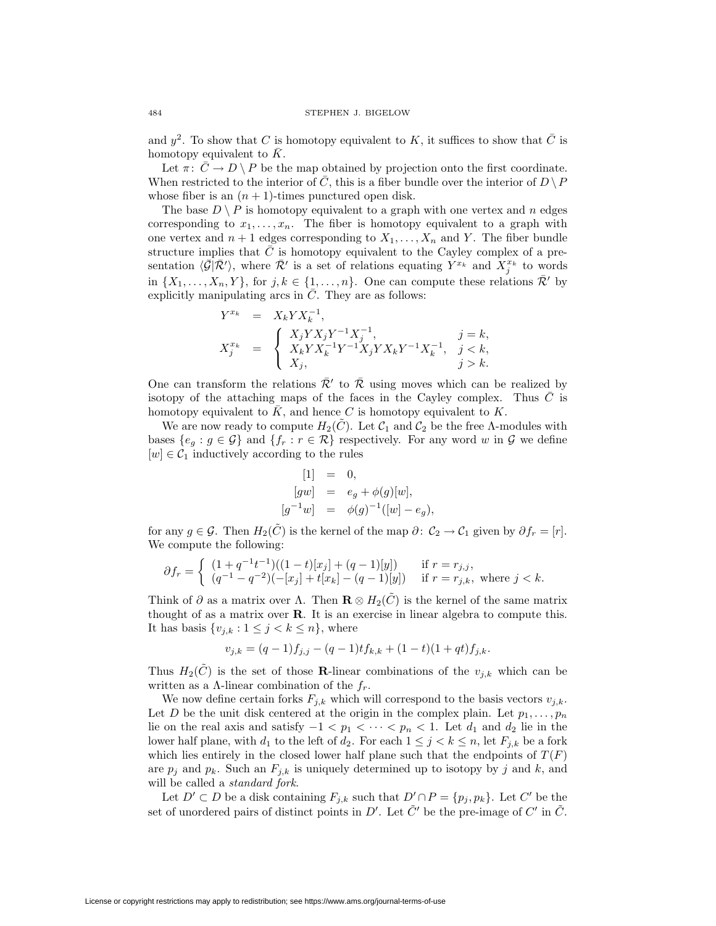and  $y^2$ . To show that C is homotopy equivalent to K, it suffices to show that C is homotopy equivalent to  $\overline{K}$ .

Let  $\pi: \bar{C} \to D \setminus P$  be the map obtained by projection onto the first coordinate. When restricted to the interior of C, this is a fiber bundle over the interior of  $D \backslash P$ whose fiber is an  $(n + 1)$ -times punctured open disk.

The base  $D \setminus P$  is homotopy equivalent to a graph with one vertex and n edges corresponding to  $x_1, \ldots, x_n$ . The fiber is homotopy equivalent to a graph with one vertex and  $n + 1$  edges corresponding to  $X_1, \ldots, X_n$  and Y. The fiber bundle structure implies that  $C$  is homotopy equivalent to the Cayley complex of a presentation  $\langle \bar{\mathcal{G}} | \bar{\mathcal{R}}' \rangle$ , where  $\bar{\mathcal{R}}'$  is a set of relations equating  $Y^{x_k}$  and  $X_j^{x_k}$  to words in  $\{X_1,\ldots,X_n,Y\}$ , for  $j,k \in \{1,\ldots,n\}$ . One can compute these relations  $\bar{\mathcal{R}}'$  by explicitly manipulating arcs in  $\overline{C}$ . They are as follows:

$$
\begin{array}{rcl}\nY^{x_k} & = & X_k Y X_k^{-1}, \\
X_j^{x_k} & = & \begin{cases}\nX_j Y X_j Y^{-1} X_j^{-1}, & j = k, \\
X_k Y X_k^{-1} Y^{-1} X_j Y X_k Y^{-1} X_k^{-1}, & j < k, \\
X_j, & j > k.\n\end{cases}\n\end{array}
$$

One can transform the relations  $\bar{\mathcal{R}}'$  to  $\bar{\mathcal{R}}$  using moves which can be realized by isotopy of the attaching maps of the faces in the Cayley complex. Thus  $\overline{C}$  is homotopy equivalent to  $\bar{K}$ , and hence C is homotopy equivalent to K.

We are now ready to compute  $H_2(\tilde{C})$ . Let  $\mathcal{C}_1$  and  $\mathcal{C}_2$  be the free A-modules with bases  $\{e_g : g \in \mathcal{G}\}\$  and  $\{f_r : r \in \mathcal{R}\}\$  respectively. For any word w in  $\mathcal{G}$  we define  $[w] \in \mathcal{C}_1$  inductively according to the rules

$$
[1] = 0,
$$
  
\n
$$
[gw] = e_g + \phi(g)[w],
$$
  
\n
$$
[g^{-1}w] = \phi(g)^{-1}([w] - e_g),
$$

for any  $g \in \mathcal{G}$ . Then  $H_2(\tilde{C})$  is the kernel of the map  $\partial: \mathcal{C}_2 \to \mathcal{C}_1$  given by  $\partial f_r = [r]$ . We compute the following:

$$
\partial f_r = \begin{cases} (1+q^{-1}t^{-1})((1-t)[x_j] + (q-1)[y]) & \text{if } r = r_{j,j}, \\ (q^{-1}-q^{-2})(-[x_j] + t[x_k] - (q-1)[y]) & \text{if } r = r_{j,k}, \text{ where } j < k. \end{cases}
$$

Think of  $\partial$  as a matrix over  $\Lambda$ . Then **R**  $\otimes$  H<sub>2</sub>( $\tilde{C}$ ) is the kernel of the same matrix thought of as a matrix over **R**. It is an exercise in linear algebra to compute this. It has basis  $\{v_{j,k} : 1 \leq j < k \leq n\}$ , where

$$
v_{j,k} = (q-1)f_{j,j} - (q-1)tf_{k,k} + (1-t)(1+qt)f_{j,k}.
$$

Thus  $H_2(\tilde{C})$  is the set of those **R**-linear combinations of the  $v_{j,k}$  which can be written as a  $\Lambda$ -linear combination of the  $f_r$ .

We now define certain forks  $F_{j,k}$  which will correspond to the basis vectors  $v_{j,k}$ . Let D be the unit disk centered at the origin in the complex plain. Let  $p_1, \ldots, p_n$ lie on the real axis and satisfy  $-1 < p_1 < \cdots < p_n < 1$ . Let  $d_1$  and  $d_2$  lie in the lower half plane, with  $d_1$  to the left of  $d_2$ . For each  $1 \leq j < k \leq n$ , let  $F_{j,k}$  be a fork which lies entirely in the closed lower half plane such that the endpoints of  $T(F)$ are  $p_j$  and  $p_k$ . Such an  $F_{j,k}$  is uniquely determined up to isotopy by j and k, and will be called a *standard fork*.

Let  $D' \subset D$  be a disk containing  $F_{j,k}$  such that  $D' \cap P = \{p_j, p_k\}$ . Let C' be the set of unordered pairs of distinct points in D'. Let  $\tilde{C}'$  be the pre-image of  $C'$  in  $\tilde{C}$ .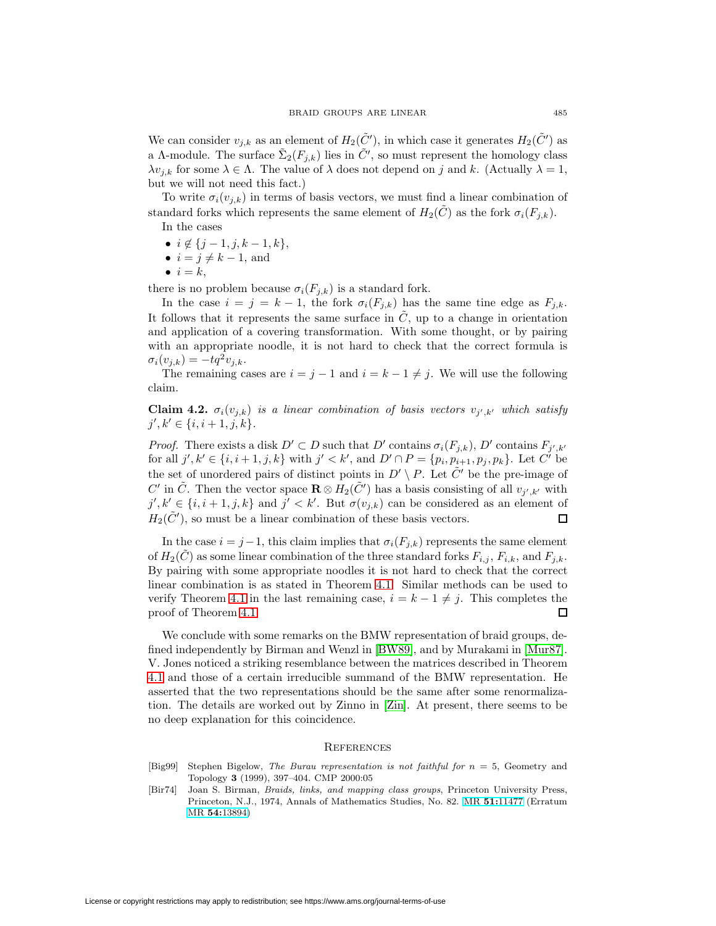We can consider  $v_{j,k}$  as an element of  $H_2(\tilde{C}')$ , in which case it generates  $H_2(\tilde{C}')$  as a A-module. The surface  $\tilde{\Sigma}_2(F_{j,k})$  lies in  $\tilde{C}'$ , so must represent the homology class  $\lambda v_{i,k}$  for some  $\lambda \in \Lambda$ . The value of  $\lambda$  does not depend on j and k. (Actually  $\lambda = 1$ , but we will not need this fact.)

To write  $\sigma_i(v_{j,k})$  in terms of basis vectors, we must find a linear combination of standard forks which represents the same element of  $H_2(\tilde{C})$  as the fork  $\sigma_i(F_{j,k})$ . In the cases

- $i \notin \{j-1, j, k-1, k\},\$
- $i = j \neq k 1$ , and
- $\bullet i = k,$

there is no problem because  $\sigma_i(F_{j,k})$  is a standard fork.

In the case  $i = j = k - 1$ , the fork  $\sigma_i(F_{j,k})$  has the same tine edge as  $F_{j,k}$ . It follows that it represents the same surface in  $\tilde{C}$ , up to a change in orientation and application of a covering transformation. With some thought, or by pairing with an appropriate noodle, it is not hard to check that the correct formula is  $\sigma_i(v_{j,k}) = -tq^2v_{j,k}.$ 

The remaining cases are  $i = j - 1$  and  $i = k - 1 \neq j$ . We will use the following claim.

**Claim 4.2.**  $\sigma_i(v_{i,k})$  is a linear combination of basis vectors  $v_{i',k'}$  which satisfy  $j', k' \in \{i, i+1, j, k\}.$ 

*Proof.* There exists a disk  $D' \subset D$  such that  $D'$  contains  $\sigma_i(F_{j,k})$ ,  $D'$  contains  $F_{j',k'}$ for all  $j', k' \in \{i, i+1, j, k\}$  with  $j' < k'$ , and  $D' \cap P = \{p_i, p_{i+1}, p_j, p_k\}$ . Let C' be the set of unordered pairs of distinct points in  $D' \setminus P$ . Let  $\tilde{C}'$  be the pre-image of C' in  $\tilde{C}$ . Then the vector space  $\mathbf{R} \otimes H_2(\tilde{C}')$  has a basis consisting of all  $v_{j',k'}$  with  $j', k' \in \{i, i+1, j, k\}$  and  $j' < k'$ . But  $\sigma(v_{j,k})$  can be considered as an element of  $H_2(\tilde{C}')$ , so must be a linear combination of these basis vectors. 口

In the case  $i = j-1$ , this claim implies that  $\sigma_i(F_{j,k})$  represents the same element of  $H_2(\tilde{C})$  as some linear combination of the three standard forks  $F_{i,j}$ ,  $F_{i,k}$ , and  $F_{j,k}$ . By pairing with some appropriate noodles it is not hard to check that the correct linear combination is as stated in Theorem [4.1.](#page-11-2) Similar methods can be used to verify Theorem [4.1](#page-11-2) in the last remaining case,  $i = k - 1 \neq j$ . This completes the proof of Theorem [4.1.](#page-11-2) П

We conclude with some remarks on the BMW representation of braid groups, defined independently by Birman and Wenzl in [\[BW89\]](#page-15-9), and by Murakami in [\[Mur87\]](#page-15-10). V. Jones noticed a striking resemblance between the matrices described in Theorem [4.1](#page-11-2) and those of a certain irreducible summand of the BMW representation. He asserted that the two representations should be the same after some renormalization. The details are worked out by Zinno in [\[Zin\]](#page-15-11). At present, there seems to be no deep explanation for this coincidence.

#### **REFERENCES**

- <span id="page-14-0"></span>[Big99] Stephen Bigelow, The Burau representation is not faithful for  $n = 5$ , Geometry and Topology **3** (1999), 397–404. CMP 2000:05
- <span id="page-14-1"></span>[Bir74] Joan S. Birman, Braids, links, and mapping class groups, Princeton University Press, Princeton, N.J., 1974, Annals of Mathematics Studies, No. 82. MR **51:**[11477](http://www.ams.org/mathscinet-getitem?mr=51:11477) (Erratum MR **54:**[13894\)](http://www.ams.org/mathscinet-getitem?mr=54:13894)